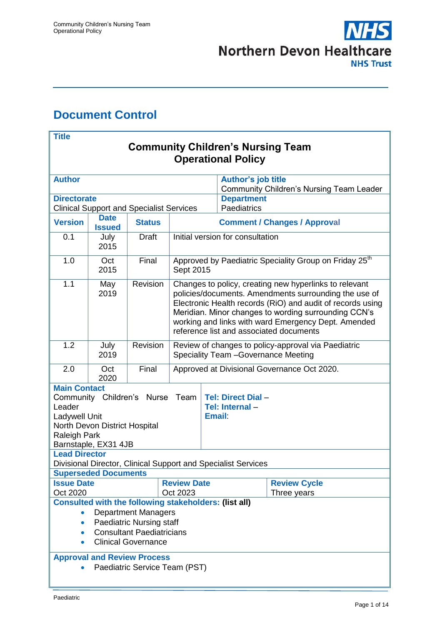

# <span id="page-0-0"></span>**Document Control**

| <b>Title</b>                                                                                          |                                                                |               |                                                                                                                                                                                                                                                                                                                                         |                                     |                                  |                                                                    |  |
|-------------------------------------------------------------------------------------------------------|----------------------------------------------------------------|---------------|-----------------------------------------------------------------------------------------------------------------------------------------------------------------------------------------------------------------------------------------------------------------------------------------------------------------------------------------|-------------------------------------|----------------------------------|--------------------------------------------------------------------|--|
| <b>Community Children's Nursing Team</b>                                                              |                                                                |               |                                                                                                                                                                                                                                                                                                                                         |                                     |                                  |                                                                    |  |
| <b>Operational Policy</b>                                                                             |                                                                |               |                                                                                                                                                                                                                                                                                                                                         |                                     |                                  |                                                                    |  |
|                                                                                                       |                                                                |               |                                                                                                                                                                                                                                                                                                                                         |                                     |                                  |                                                                    |  |
| <b>Author</b>                                                                                         |                                                                |               |                                                                                                                                                                                                                                                                                                                                         | <b>Author's job title</b>           |                                  |                                                                    |  |
| <b>Directorate</b>                                                                                    |                                                                |               |                                                                                                                                                                                                                                                                                                                                         |                                     | <b>Department</b>                | <b>Community Children's Nursing Team Leader</b>                    |  |
|                                                                                                       |                                                                |               |                                                                                                                                                                                                                                                                                                                                         |                                     | Paediatrics                      |                                                                    |  |
|                                                                                                       | <b>Clinical Support and Specialist Services</b><br><b>Date</b> |               |                                                                                                                                                                                                                                                                                                                                         |                                     |                                  |                                                                    |  |
| <b>Version</b>                                                                                        | <b>Issued</b>                                                  | <b>Status</b> |                                                                                                                                                                                                                                                                                                                                         | <b>Comment / Changes / Approval</b> |                                  |                                                                    |  |
| 0.1                                                                                                   | July<br>2015                                                   | <b>Draft</b>  | Initial version for consultation                                                                                                                                                                                                                                                                                                        |                                     |                                  |                                                                    |  |
| 1.0                                                                                                   | Oct<br>2015                                                    | Final         | Sept 2015                                                                                                                                                                                                                                                                                                                               |                                     |                                  | Approved by Paediatric Speciality Group on Friday 25 <sup>th</sup> |  |
| 1.1                                                                                                   | May<br>2019                                                    | Revision      | Changes to policy, creating new hyperlinks to relevant<br>policies/documents. Amendments surrounding the use of<br>Electronic Health records (RiO) and audit of records using<br>Meridian. Minor changes to wording surrounding CCN's<br>working and links with ward Emergency Dept. Amended<br>reference list and associated documents |                                     |                                  |                                                                    |  |
| 1.2                                                                                                   | July                                                           | Revision      | Review of changes to policy-approval via Paediatric                                                                                                                                                                                                                                                                                     |                                     |                                  |                                                                    |  |
|                                                                                                       | 2019                                                           |               | Speciality Team - Governance Meeting                                                                                                                                                                                                                                                                                                    |                                     |                                  |                                                                    |  |
| 2.0                                                                                                   | Oct<br>2020                                                    | Final         | Approved at Divisional Governance Oct 2020.                                                                                                                                                                                                                                                                                             |                                     |                                  |                                                                    |  |
| <b>Main Contact</b>                                                                                   |                                                                |               |                                                                                                                                                                                                                                                                                                                                         |                                     |                                  |                                                                    |  |
|                                                                                                       | Community Children's                                           | <b>Nurse</b>  | Team                                                                                                                                                                                                                                                                                                                                    |                                     | <b>Tel: Direct Dial -</b>        |                                                                    |  |
| Leader                                                                                                |                                                                |               |                                                                                                                                                                                                                                                                                                                                         |                                     | Tel: Internal -<br><b>Email:</b> |                                                                    |  |
| Ladywell Unit                                                                                         | North Devon District Hospital                                  |               |                                                                                                                                                                                                                                                                                                                                         |                                     |                                  |                                                                    |  |
| Raleigh Park                                                                                          |                                                                |               |                                                                                                                                                                                                                                                                                                                                         |                                     |                                  |                                                                    |  |
|                                                                                                       | Barnstaple, EX31 4JB                                           |               |                                                                                                                                                                                                                                                                                                                                         |                                     |                                  |                                                                    |  |
| <b>Lead Director</b>                                                                                  |                                                                |               |                                                                                                                                                                                                                                                                                                                                         |                                     |                                  |                                                                    |  |
| Divisional Director, Clinical Support and Specialist Services                                         |                                                                |               |                                                                                                                                                                                                                                                                                                                                         |                                     |                                  |                                                                    |  |
| <b>Superseded Documents</b>                                                                           |                                                                |               |                                                                                                                                                                                                                                                                                                                                         |                                     |                                  |                                                                    |  |
| <b>Review Date</b><br><b>Issue Date</b><br><b>Review Cycle</b><br>Oct 2020<br>Oct 2023<br>Three years |                                                                |               |                                                                                                                                                                                                                                                                                                                                         |                                     |                                  |                                                                    |  |
| <b>Consulted with the following stakeholders: (list all)</b>                                          |                                                                |               |                                                                                                                                                                                                                                                                                                                                         |                                     |                                  |                                                                    |  |
| <b>Department Managers</b>                                                                            |                                                                |               |                                                                                                                                                                                                                                                                                                                                         |                                     |                                  |                                                                    |  |
| <b>Paediatric Nursing staff</b><br>$\bullet$                                                          |                                                                |               |                                                                                                                                                                                                                                                                                                                                         |                                     |                                  |                                                                    |  |
| <b>Consultant Paediatricians</b><br>$\bullet$                                                         |                                                                |               |                                                                                                                                                                                                                                                                                                                                         |                                     |                                  |                                                                    |  |
| <b>Clinical Governance</b><br>$\bullet$                                                               |                                                                |               |                                                                                                                                                                                                                                                                                                                                         |                                     |                                  |                                                                    |  |
| <b>Approval and Review Process</b>                                                                    |                                                                |               |                                                                                                                                                                                                                                                                                                                                         |                                     |                                  |                                                                    |  |
|                                                                                                       | Paediatric Service Team (PST)                                  |               |                                                                                                                                                                                                                                                                                                                                         |                                     |                                  |                                                                    |  |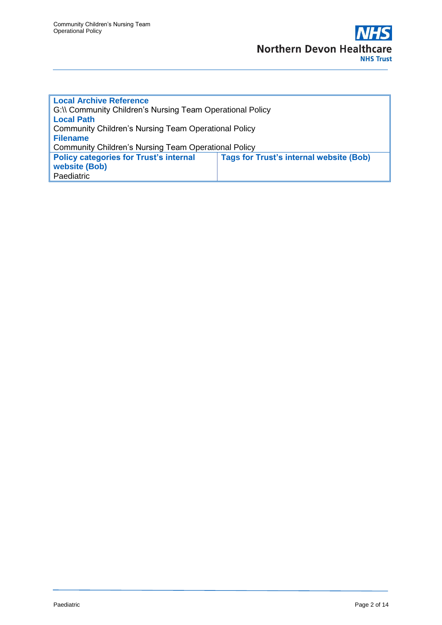| <b>Local Archive Reference</b>                              |                                                |  |  |  |
|-------------------------------------------------------------|------------------------------------------------|--|--|--|
| G:\\ Community Children's Nursing Team Operational Policy   |                                                |  |  |  |
| <b>Local Path</b>                                           |                                                |  |  |  |
| <b>Community Children's Nursing Team Operational Policy</b> |                                                |  |  |  |
| <b>Filename</b>                                             |                                                |  |  |  |
| <b>Community Children's Nursing Team Operational Policy</b> |                                                |  |  |  |
| <b>Policy categories for Trust's internal</b>               | <b>Tags for Trust's internal website (Bob)</b> |  |  |  |
| website (Bob)                                               |                                                |  |  |  |
| Paediatric                                                  |                                                |  |  |  |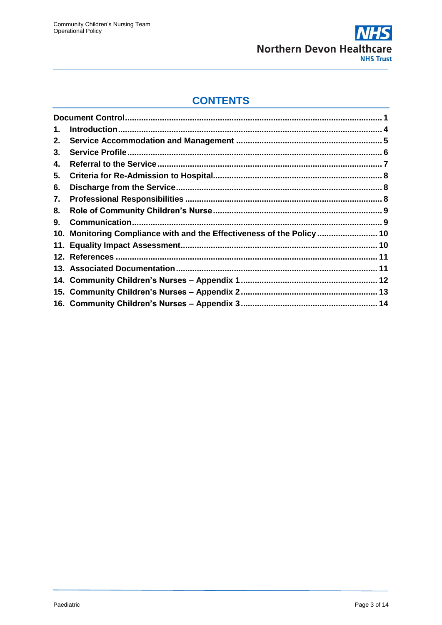

### **CONTENTS**

| 1. |                                                                        |  |
|----|------------------------------------------------------------------------|--|
| 2. |                                                                        |  |
| 3. |                                                                        |  |
| 4. |                                                                        |  |
| 5. |                                                                        |  |
| 6. |                                                                        |  |
| 7. |                                                                        |  |
| 8. |                                                                        |  |
| 9. |                                                                        |  |
|    | 10. Monitoring Compliance with and the Effectiveness of the Policy  10 |  |
|    |                                                                        |  |
|    |                                                                        |  |
|    |                                                                        |  |
|    |                                                                        |  |
|    |                                                                        |  |
|    |                                                                        |  |
|    |                                                                        |  |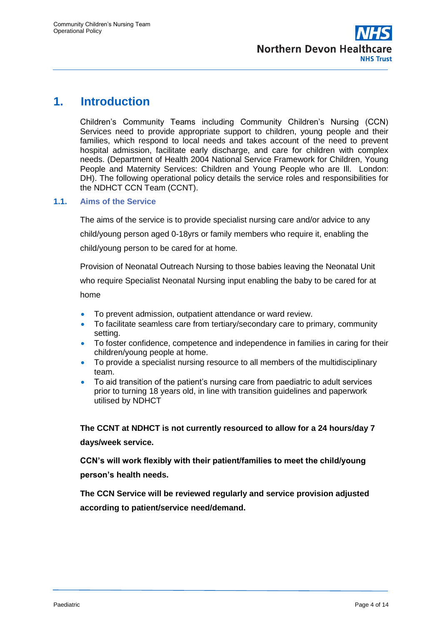### <span id="page-3-0"></span>**1. Introduction**

Children's Community Teams including Community Children's Nursing (CCN) Services need to provide appropriate support to children, young people and their families, which respond to local needs and takes account of the need to prevent hospital admission, facilitate early discharge, and care for children with complex needs. (Department of Health 2004 National Service Framework for Children, Young People and Maternity Services: Children and Young People who are Ill. London: DH). The following operational policy details the service roles and responsibilities for the NDHCT CCN Team (CCNT).

### **1.1. Aims of the Service**

The aims of the service is to provide specialist nursing care and/or advice to any child/young person aged 0-18yrs or family members who require it, enabling the child/young person to be cared for at home.

Provision of Neonatal Outreach Nursing to those babies leaving the Neonatal Unit who require Specialist Neonatal Nursing input enabling the baby to be cared for at home

- To prevent admission, outpatient attendance or ward review.
- To facilitate seamless care from tertiary/secondary care to primary, community setting.
- To foster confidence, competence and independence in families in caring for their children/young people at home.
- To provide a specialist nursing resource to all members of the multidisciplinary team.
- To aid transition of the patient's nursing care from paediatric to adult services prior to turning 18 years old, in line with transition guidelines and paperwork utilised by NDHCT

**The CCNT at NDHCT is not currently resourced to allow for a 24 hours/day 7 days/week service.**

**CCN's will work flexibly with their patient/families to meet the child/young person's health needs.**

**The CCN Service will be reviewed regularly and service provision adjusted according to patient/service need/demand.**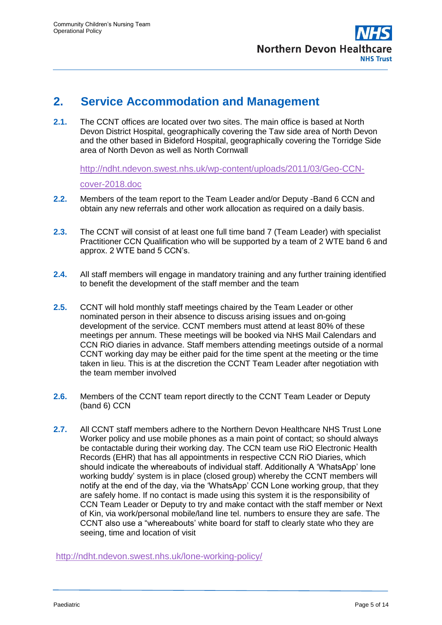### <span id="page-4-0"></span>**2. Service Accommodation and Management**

**2.1.** The CCNT offices are located over two sites. The main office is based at North Devon District Hospital, geographically covering the Taw side area of North Devon and the other based in Bideford Hospital, geographically covering the Torridge Side area of North Devon as well as North Cornwall

[http://ndht.ndevon.swest.nhs.uk/wp-content/uploads/2011/03/Geo-CCN-](http://ndht.ndevon.swest.nhs.uk/wp-content/uploads/2011/03/Geo-CCN-cover-2018.doc)

#### [cover-2018.doc](http://ndht.ndevon.swest.nhs.uk/wp-content/uploads/2011/03/Geo-CCN-cover-2018.doc)

- **2.2.** Members of the team report to the Team Leader and/or Deputy -Band 6 CCN and obtain any new referrals and other work allocation as required on a daily basis.
- **2.3.** The CCNT will consist of at least one full time band 7 (Team Leader) with specialist Practitioner CCN Qualification who will be supported by a team of 2 WTE band 6 and approx. 2 WTE band 5 CCN's.
- **2.4.** All staff members will engage in mandatory training and any further training identified to benefit the development of the staff member and the team
- **2.5.** CCNT will hold monthly staff meetings chaired by the Team Leader or other nominated person in their absence to discuss arising issues and on-going development of the service. CCNT members must attend at least 80% of these meetings per annum. These meetings will be booked via NHS Mail Calendars and CCN RiO diaries in advance. Staff members attending meetings outside of a normal CCNT working day may be either paid for the time spent at the meeting or the time taken in lieu. This is at the discretion the CCNT Team Leader after negotiation with the team member involved
- **2.6.** Members of the CCNT team report directly to the CCNT Team Leader or Deputy (band 6) CCN
- **2.7.** All CCNT staff members adhere to the Northern Devon Healthcare NHS Trust Lone Worker policy and use mobile phones as a main point of contact; so should always be contactable during their working day. The CCN team use RiO Electronic Health Records (EHR) that has all appointments in respective CCN RiO Diaries, which should indicate the whereabouts of individual staff. Additionally A 'WhatsApp' lone working buddy' system is in place (closed group) whereby the CCNT members will notify at the end of the day, via the 'WhatsApp' CCN Lone working group, that they are safely home. If no contact is made using this system it is the responsibility of CCN Team Leader or Deputy to try and make contact with the staff member or Next of Kin, via work/personal mobile/land line tel. numbers to ensure they are safe. The CCNT also use a "whereabouts' white board for staff to clearly state who they are seeing, time and location of visit

<http://ndht.ndevon.swest.nhs.uk/lone-working-policy/>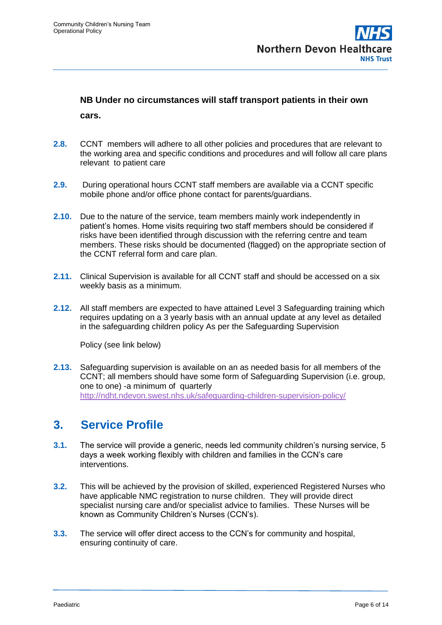# **NB Under no circumstances will staff transport patients in their own**

**cars.** 

- **2.8.** CCNT members will adhere to all other policies and procedures that are relevant to the working area and specific conditions and procedures and will follow all care plans relevant to patient care
- **2.9.** During operational hours CCNT staff members are available via a CCNT specific mobile phone and/or office phone contact for parents/guardians.
- **2.10.** Due to the nature of the service, team members mainly work independently in patient's homes. Home visits requiring two staff members should be considered if risks have been identified through discussion with the referring centre and team members. These risks should be documented (flagged) on the appropriate section of the CCNT referral form and care plan.
- **2.11.** Clinical Supervision is available for all CCNT staff and should be accessed on a six weekly basis as a minimum.
- **2.12.** All staff members are expected to have attained Level 3 Safeguarding training which requires updating on a 3 yearly basis with an annual update at any level as detailed in the safeguarding children policy As per the Safeguarding Supervision

Policy (see link below)

**2.13.** Safeguarding supervision is available on an as needed basis for all members of the CCNT; all members should have some form of Safeguarding Supervision (i.e. group, one to one) -a minimum of quarterly <http://ndht.ndevon.swest.nhs.uk/safeguarding-children-supervision-policy/>

# <span id="page-5-0"></span>**3. Service Profile**

- **3.1.** The service will provide a generic, needs led community children's nursing service, 5 days a week working flexibly with children and families in the CCN's care interventions.
- **3.2.** This will be achieved by the provision of skilled, experienced Registered Nurses who have applicable NMC registration to nurse children. They will provide direct specialist nursing care and/or specialist advice to families. These Nurses will be known as Community Children's Nurses (CCN's).
- **3.3.** The service will offer direct access to the CCN's for community and hospital, ensuring continuity of care.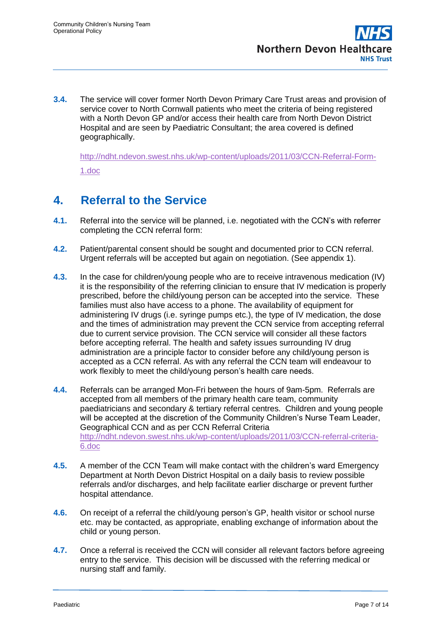**3.4.** The service will cover former North Devon Primary Care Trust areas and provision of service cover to North Cornwall patients who meet the criteria of being registered with a North Devon GP and/or access their health care from North Devon District Hospital and are seen by Paediatric Consultant; the area covered is defined geographically.

[http://ndht.ndevon.swest.nhs.uk/wp-content/uploads/2011/03/CCN-Referral-Form-](http://ndht.ndevon.swest.nhs.uk/wp-content/uploads/2011/03/CCN-Referral-Form-1.doc)[1.doc](http://ndht.ndevon.swest.nhs.uk/wp-content/uploads/2011/03/CCN-Referral-Form-1.doc)

# <span id="page-6-0"></span>**4. Referral to the Service**

- **4.1.** Referral into the service will be planned, i.e. negotiated with the CCN's with referrer completing the CCN referral form:
- **4.2.** Patient/parental consent should be sought and documented prior to CCN referral. Urgent referrals will be accepted but again on negotiation. (See appendix 1).
- **4.3.** In the case for children/young people who are to receive intravenous medication (IV) it is the responsibility of the referring clinician to ensure that IV medication is properly prescribed, before the child/young person can be accepted into the service. These families must also have access to a phone. The availability of equipment for administering IV drugs (i.e. syringe pumps etc.), the type of IV medication, the dose and the times of administration may prevent the CCN service from accepting referral due to current service provision. The CCN service will consider all these factors before accepting referral. The health and safety issues surrounding IV drug administration are a principle factor to consider before any child/young person is accepted as a CCN referral. As with any referral the CCN team will endeavour to work flexibly to meet the child/young person's health care needs.
- **4.4.** Referrals can be arranged Mon-Fri between the hours of 9am-5pm. Referrals are accepted from all members of the primary health care team, community paediatricians and secondary & tertiary referral centres. Children and young people will be accepted at the discretion of the Community Children's Nurse Team Leader, Geographical CCN and as per CCN Referral Criteria [http://ndht.ndevon.swest.nhs.uk/wp-content/uploads/2011/03/CCN-referral-criteria-](http://ndht.ndevon.swest.nhs.uk/wp-content/uploads/2011/03/CCN-referral-criteria-6.doc)[6.doc](http://ndht.ndevon.swest.nhs.uk/wp-content/uploads/2011/03/CCN-referral-criteria-6.doc)
- **4.5.** A member of the CCN Team will make contact with the children's ward Emergency Department at North Devon District Hospital on a daily basis to review possible referrals and/or discharges, and help facilitate earlier discharge or prevent further hospital attendance.
- **4.6.** On receipt of a referral the child/young person's GP, health visitor or school nurse etc. may be contacted, as appropriate, enabling exchange of information about the child or young person.
- **4.7.** Once a referral is received the CCN will consider all relevant factors before agreeing entry to the service. This decision will be discussed with the referring medical or nursing staff and family.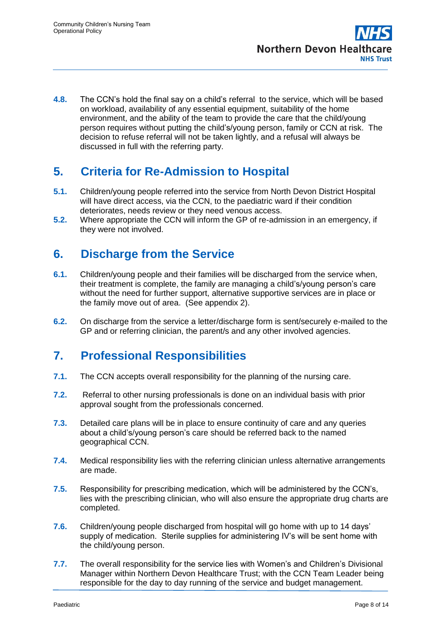**4.8.** The CCN's hold the final say on a child's referral to the service, which will be based on workload, availability of any essential equipment, suitability of the home environment, and the ability of the team to provide the care that the child/young person requires without putting the child's/young person, family or CCN at risk. The decision to refuse referral will not be taken lightly, and a refusal will always be discussed in full with the referring party.

# <span id="page-7-0"></span>**5. Criteria for Re-Admission to Hospital**

- **5.1.** Children/young people referred into the service from North Devon District Hospital will have direct access, via the CCN, to the paediatric ward if their condition deteriorates, needs review or they need venous access.
- **5.2.** Where appropriate the CCN will inform the GP of re-admission in an emergency, if they were not involved.

# <span id="page-7-1"></span>**6. Discharge from the Service**

- **6.1.** Children/young people and their families will be discharged from the service when, their treatment is complete, the family are managing a child's/young person's care without the need for further support, alternative supportive services are in place or the family move out of area. (See appendix 2).
- **6.2.** On discharge from the service a letter/discharge form is sent/securely e-mailed to the GP and or referring clinician, the parent/s and any other involved agencies.

# <span id="page-7-2"></span>**7. Professional Responsibilities**

- **7.1.** The CCN accepts overall responsibility for the planning of the nursing care.
- **7.2.** Referral to other nursing professionals is done on an individual basis with prior approval sought from the professionals concerned.
- **7.3.** Detailed care plans will be in place to ensure continuity of care and any queries about a child's/young person's care should be referred back to the named geographical CCN.
- **7.4.** Medical responsibility lies with the referring clinician unless alternative arrangements are made.
- **7.5.** Responsibility for prescribing medication, which will be administered by the CCN's, lies with the prescribing clinician, who will also ensure the appropriate drug charts are completed.
- **7.6.** Children/young people discharged from hospital will go home with up to 14 days' supply of medication. Sterile supplies for administering IV's will be sent home with the child/young person.
- **7.7.** The overall responsibility for the service lies with Women's and Children's Divisional Manager within Northern Devon Healthcare Trust; with the CCN Team Leader being responsible for the day to day running of the service and budget management.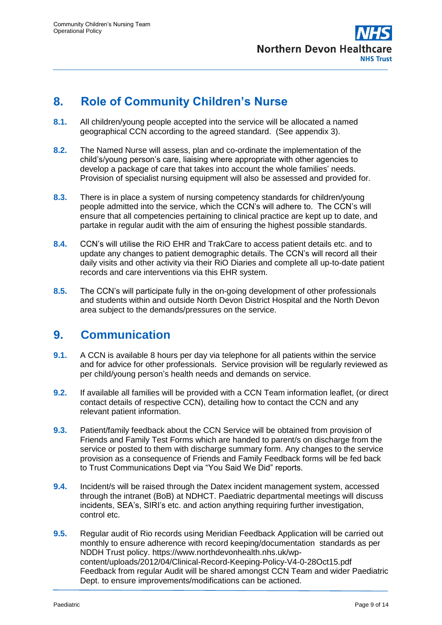

# <span id="page-8-0"></span>**8. Role of Community Children's Nurse**

- **8.1.** All children/young people accepted into the service will be allocated a named geographical CCN according to the agreed standard. (See appendix 3).
- **8.2.** The Named Nurse will assess, plan and co-ordinate the implementation of the child's/young person's care, liaising where appropriate with other agencies to develop a package of care that takes into account the whole families' needs. Provision of specialist nursing equipment will also be assessed and provided for.
- **8.3.** There is in place a system of nursing competency standards for children/young people admitted into the service, which the CCN's will adhere to. The CCN's will ensure that all competencies pertaining to clinical practice are kept up to date, and partake in regular audit with the aim of ensuring the highest possible standards.
- **8.4.** CCN's will utilise the RiO EHR and TrakCare to access patient details etc. and to update any changes to patient demographic details. The CCN's will record all their daily visits and other activity via their RiO Diaries and complete all up-to-date patient records and care interventions via this EHR system.
- **8.5.** The CCN's will participate fully in the on-going development of other professionals and students within and outside North Devon District Hospital and the North Devon area subject to the demands/pressures on the service.

### <span id="page-8-1"></span>**9. Communication**

- **9.1.** A CCN is available 8 hours per day via telephone for all patients within the service and for advice for other professionals. Service provision will be regularly reviewed as per child/young person's health needs and demands on service.
- **9.2.** If available all families will be provided with a CCN Team information leaflet, (or direct contact details of respective CCN), detailing how to contact the CCN and any relevant patient information.
- **9.3.** Patient/family feedback about the CCN Service will be obtained from provision of Friends and Family Test Forms which are handed to parent/s on discharge from the service or posted to them with discharge summary form. Any changes to the service provision as a consequence of Friends and Family Feedback forms will be fed back to Trust Communications Dept via "You Said We Did" reports.
- **9.4.** Incident/s will be raised through the Datex incident management system, accessed through the intranet (BoB) at NDHCT. Paediatric departmental meetings will discuss incidents, SEA's, SIRI's etc. and action anything requiring further investigation, control etc.
- **9.5.** Regular audit of Rio records using Meridian Feedback Application will be carried out monthly to ensure adherence with record keeping/documentation standards as per NDDH Trust policy. [https://www.northdevonhealth.nhs.uk/wp](https://www.northdevonhealth.nhs.uk/wp-content/uploads/2012/04/Clinical-Record-Keeping-Policy-V4-0-28Oct15.pdf)[content/uploads/2012/04/Clinical-Record-Keeping-Policy-V4-0-28Oct15.pdf](https://www.northdevonhealth.nhs.uk/wp-content/uploads/2012/04/Clinical-Record-Keeping-Policy-V4-0-28Oct15.pdf) Feedback from regular Audit will be shared amongst CCN Team and wider Paediatric Dept. to ensure improvements/modifications can be actioned.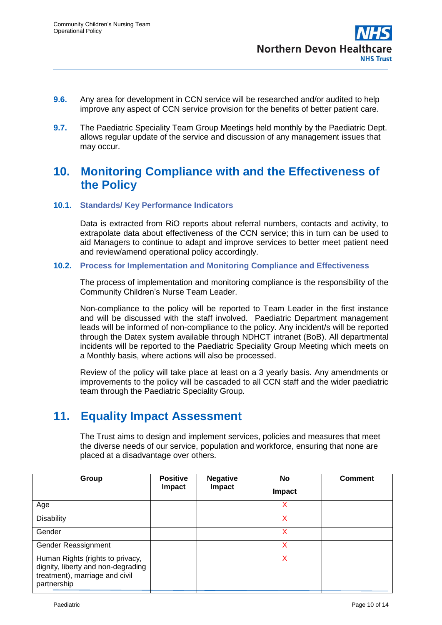- **9.6.** Any area for development in CCN service will be researched and/or audited to help improve any aspect of CCN service provision for the benefits of better patient care.
- **9.7.** The Paediatric Speciality Team Group Meetings held monthly by the Paediatric Dept. allows regular update of the service and discussion of any management issues that may occur.

# <span id="page-9-0"></span>**10. Monitoring Compliance with and the Effectiveness of the Policy**

### **10.1. Standards/ Key Performance Indicators**

Data is extracted from RiO reports about referral numbers, contacts and activity, to extrapolate data about effectiveness of the CCN service; this in turn can be used to aid Managers to continue to adapt and improve services to better meet patient need and review/amend operational policy accordingly.

### **10.2. Process for Implementation and Monitoring Compliance and Effectiveness**

The process of implementation and monitoring compliance is the responsibility of the Community Children's Nurse Team Leader.

Non-compliance to the policy will be reported to Team Leader in the first instance and will be discussed with the staff involved. Paediatric Department management leads will be informed of non-compliance to the policy. Any incident/s will be reported through the Datex system available through NDHCT intranet (BoB). All departmental incidents will be reported to the Paediatric Speciality Group Meeting which meets on a Monthly basis, where actions will also be processed.

Review of the policy will take place at least on a 3 yearly basis. Any amendments or improvements to the policy will be cascaded to all CCN staff and the wider paediatric team through the Paediatric Speciality Group.

# <span id="page-9-1"></span>**11. Equality Impact Assessment**

The Trust aims to design and implement services, policies and measures that meet the diverse needs of our service, population and workforce, ensuring that none are placed at a disadvantage over others.

| Group                                                                                                                   | <b>Positive</b><br>Impact | <b>Negative</b><br>Impact | No<br>Impact | <b>Comment</b> |
|-------------------------------------------------------------------------------------------------------------------------|---------------------------|---------------------------|--------------|----------------|
| Age                                                                                                                     |                           |                           | x            |                |
| <b>Disability</b>                                                                                                       |                           |                           | x            |                |
| Gender                                                                                                                  |                           |                           | x            |                |
| Gender Reassignment                                                                                                     |                           |                           | x            |                |
| Human Rights (rights to privacy,<br>dignity, liberty and non-degrading<br>treatment), marriage and civil<br>partnership |                           |                           | x            |                |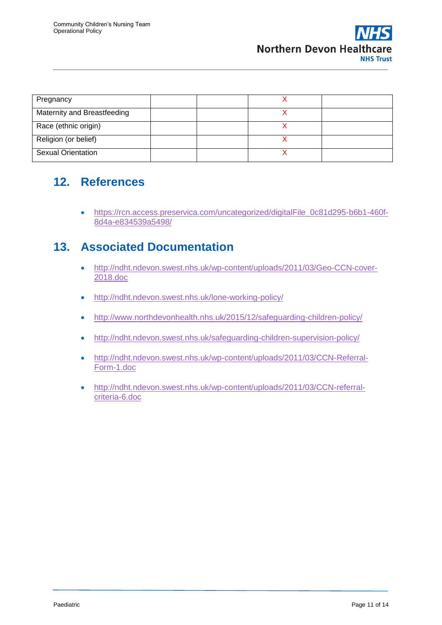| Pregnancy                   |  |  |
|-----------------------------|--|--|
| Maternity and Breastfeeding |  |  |
| Race (ethnic origin)        |  |  |
| Religion (or belief)        |  |  |
| <b>Sexual Orientation</b>   |  |  |

# <span id="page-10-0"></span>**12. References**

 [https://rcn.access.preservica.com/uncategorized/digitalFile\\_0c81d295-b6b1-460f-](https://rcn.access.preservica.com/uncategorized/digitalFile_0c81d295-b6b1-460f-8d4a-e834539a5498/)[8d4a-e834539a5498/](https://rcn.access.preservica.com/uncategorized/digitalFile_0c81d295-b6b1-460f-8d4a-e834539a5498/)

# <span id="page-10-1"></span>**13. Associated Documentation**

- [http://ndht.ndevon.swest.nhs.uk/wp-content/uploads/2011/03/Geo-CCN-cover-](http://ndht.ndevon.swest.nhs.uk/wp-content/uploads/2011/03/Geo-CCN-cover-2018.doc)[2018.doc](http://ndht.ndevon.swest.nhs.uk/wp-content/uploads/2011/03/Geo-CCN-cover-2018.doc)
- <http://ndht.ndevon.swest.nhs.uk/lone-working-policy/>
- <http://www.northdevonhealth.nhs.uk/2015/12/safeguarding-children-policy/>
- <http://ndht.ndevon.swest.nhs.uk/safeguarding-children-supervision-policy/>
- [http://ndht.ndevon.swest.nhs.uk/wp-content/uploads/2011/03/CCN-Referral-](http://ndht.ndevon.swest.nhs.uk/wp-content/uploads/2011/03/CCN-Referral-Form-1.doc)[Form-1.doc](http://ndht.ndevon.swest.nhs.uk/wp-content/uploads/2011/03/CCN-Referral-Form-1.doc)
- [http://ndht.ndevon.swest.nhs.uk/wp-content/uploads/2011/03/CCN-referral](http://ndht.ndevon.swest.nhs.uk/wp-content/uploads/2011/03/CCN-referral-criteria-6.doc)[criteria-6.doc](http://ndht.ndevon.swest.nhs.uk/wp-content/uploads/2011/03/CCN-referral-criteria-6.doc)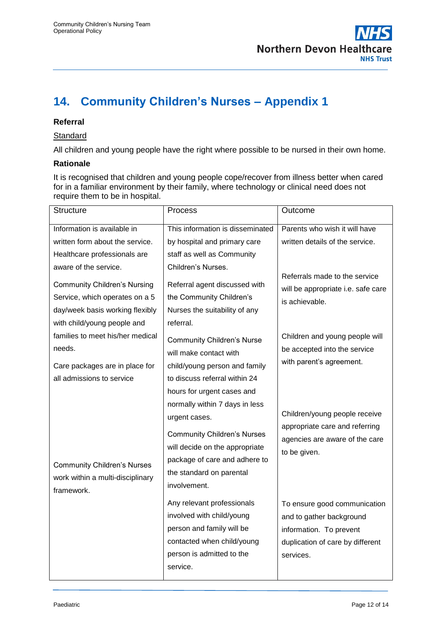

# <span id="page-11-0"></span>**14. Community Children's Nurses – Appendix 1**

### **Referral**

#### **Standard**

All children and young people have the right where possible to be nursed in their own home.

#### **Rationale**

It is recognised that children and young people cope/recover from illness better when cared for in a familiar environment by their family, where technology or clinical need does not require them to be in hospital.

| <b>Structure</b>                                                                                                                        | Process                                                                                                                                                                                                                            | Outcome                                                                                                                              |
|-----------------------------------------------------------------------------------------------------------------------------------------|------------------------------------------------------------------------------------------------------------------------------------------------------------------------------------------------------------------------------------|--------------------------------------------------------------------------------------------------------------------------------------|
| Information is available in                                                                                                             | This information is disseminated                                                                                                                                                                                                   | Parents who wish it will have                                                                                                        |
| written form about the service.                                                                                                         | by hospital and primary care                                                                                                                                                                                                       | written details of the service.                                                                                                      |
| Healthcare professionals are                                                                                                            | staff as well as Community                                                                                                                                                                                                         |                                                                                                                                      |
| aware of the service.                                                                                                                   | Children's Nurses.                                                                                                                                                                                                                 |                                                                                                                                      |
| <b>Community Children's Nursing</b><br>Service, which operates on a 5<br>day/week basis working flexibly<br>with child/young people and | Referral agent discussed with<br>the Community Children's<br>Nurses the suitability of any<br>referral.                                                                                                                            | Referrals made to the service<br>will be appropriate i.e. safe care<br>is achievable.                                                |
| families to meet his/her medical                                                                                                        | <b>Community Children's Nurse</b>                                                                                                                                                                                                  | Children and young people will                                                                                                       |
| needs.                                                                                                                                  | will make contact with                                                                                                                                                                                                             | be accepted into the service                                                                                                         |
| Care packages are in place for                                                                                                          | child/young person and family                                                                                                                                                                                                      | with parent's agreement.                                                                                                             |
| all admissions to service                                                                                                               | to discuss referral within 24                                                                                                                                                                                                      |                                                                                                                                      |
| <b>Community Children's Nurses</b><br>work within a multi-disciplinary<br>framework.                                                    | hours for urgent cases and<br>normally within 7 days in less<br>urgent cases.<br><b>Community Children's Nurses</b><br>will decide on the appropriate<br>package of care and adhere to<br>the standard on parental<br>involvement. | Children/young people receive<br>appropriate care and referring<br>agencies are aware of the care<br>to be given.                    |
|                                                                                                                                         | Any relevant professionals<br>involved with child/young<br>person and family will be<br>contacted when child/young<br>person is admitted to the<br>service.                                                                        | To ensure good communication<br>and to gather background<br>information. To prevent<br>duplication of care by different<br>services. |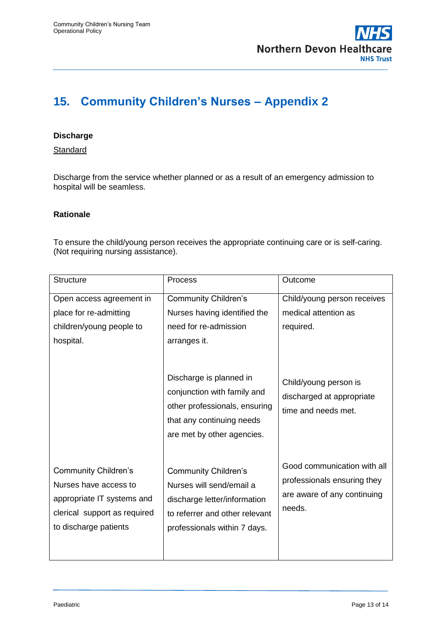

# <span id="page-12-0"></span>**15. Community Children's Nurses – Appendix 2**

### **Discharge**

**Standard** 

Discharge from the service whether planned or as a result of an emergency admission to hospital will be seamless.

### **Rationale**

To ensure the child/young person receives the appropriate continuing care or is self-caring. (Not requiring nursing assistance).

| <b>Structure</b>                                                                                                                            | <b>Process</b>                                                                                                                                            | Outcome                                                                                             |
|---------------------------------------------------------------------------------------------------------------------------------------------|-----------------------------------------------------------------------------------------------------------------------------------------------------------|-----------------------------------------------------------------------------------------------------|
| Open access agreement in                                                                                                                    | <b>Community Children's</b>                                                                                                                               | Child/young person receives                                                                         |
| place for re-admitting                                                                                                                      | Nurses having identified the                                                                                                                              | medical attention as                                                                                |
| children/young people to                                                                                                                    | need for re-admission                                                                                                                                     | required.                                                                                           |
| hospital.                                                                                                                                   | arranges it.                                                                                                                                              |                                                                                                     |
|                                                                                                                                             | Discharge is planned in<br>conjunction with family and<br>other professionals, ensuring<br>that any continuing needs<br>are met by other agencies.        | Child/young person is<br>discharged at appropriate<br>time and needs met.                           |
| <b>Community Children's</b><br>Nurses have access to<br>appropriate IT systems and<br>clerical support as required<br>to discharge patients | <b>Community Children's</b><br>Nurses will send/email a<br>discharge letter/information<br>to referrer and other relevant<br>professionals within 7 days. | Good communication with all<br>professionals ensuring they<br>are aware of any continuing<br>needs. |